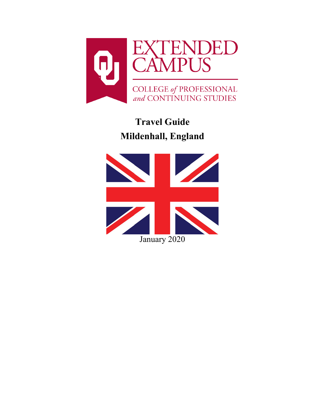

# **Travel Guide Mildenhall, England**

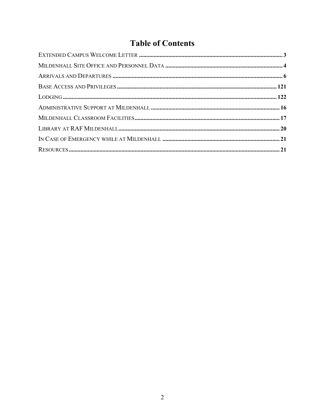## **Table of Contents**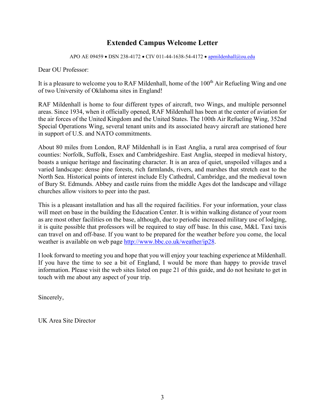## **Extended Campus Welcome Letter**

APO AE 09459 • DSN 238-4172 • CIV 011-44-1638-54-4172 • [apmildenhall@ou.edu](mailto:apmildenhall@ou.edu)

<span id="page-2-0"></span>Dear OU Professor:

It is a pleasure to welcome you to RAF Mildenhall, home of the 100<sup>th</sup> Air Refueling Wing and one of two University of Oklahoma sites in England!

RAF Mildenhall is home to four different types of aircraft, two Wings, and multiple personnel areas. Since 1934, when it officially opened, RAF Mildenhall has been at the center of aviation for the air forces of the United Kingdom and the United States. The 100th Air Refueling Wing, 352nd Special Operations Wing, several tenant units and its associated heavy aircraft are stationed here in support of U.S. and NATO commitments.

About 80 miles from London, RAF Mildenhall is in East Anglia, a rural area comprised of four counties: Norfolk, Suffolk, Essex and Cambridgeshire. East Anglia, steeped in medieval history, boasts a unique heritage and fascinating character. It is an area of quiet, unspoiled villages and a varied landscape: dense pine forests, rich farmlands, rivers, and marshes that stretch east to the North Sea. Historical points of interest include Ely Cathedral, Cambridge, and the medieval town of Bury St. Edmunds. Abbey and castle ruins from the middle Ages dot the landscape and village churches allow visitors to peer into the past.

This is a pleasant installation and has all the required facilities. For your information, your class will meet on base in the building the Education Center. It is within walking distance of your room as are most other facilities on the base, although, due to periodic increased military use of lodging, it is quite possible that professors will be required to stay off base. In this case, M&L Taxi taxis can travel on and off-base. If you want to be prepared for the weather before you come, the local weather is available on web page [http://www.bbc.co.uk/weather/ip28.](http://www.bbc.co.uk/weather/ip28)

I look forward to meeting you and hope that you will enjoy your teaching experience at Mildenhall. If you have the time to see a bit of England, I would be more than happy to provide travel information. Please visit the web sites listed on page 21 of this guide, and do not hesitate to get in touch with me about any aspect of your trip.

Sincerely,

UK Area Site Director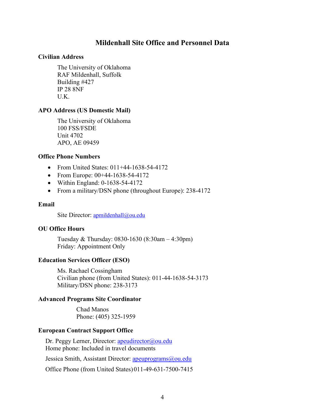## **Mildenhall Site Office and Personnel Data**

#### <span id="page-3-0"></span>**Civilian Address**

The University of Oklahoma RAF Mildenhall, Suffolk Building #427 IP 28 8NF U.K.

#### **APO Address (US Domestic Mail)**

The University of Oklahoma 100 FSS/FSDE Unit 4702 APO, AE 09459

#### **Office Phone Numbers**

- From United States: 011+44-1638-54-4172
- From Europe: 00+44-1638-54-4172
- Within England: 0-1638-54-4172
- From a military/DSN phone (throughout Europe): 238-4172

#### **Email**

Site Director: [apmildenhall@ou.edu](mailto:apmildenhall@ou.edu)

#### **OU Office Hours**

Tuesday & Thursday: 0830-1630 (8:30am – 4:30pm) Friday: Appointment Only

#### **Education Services Officer (ESO)**

Ms. Rachael Cossingham Civilian phone (from United States): 011-44-1638-54-3173 Military/DSN phone: 238-3173

#### **Advanced Programs Site Coordinator**

Chad Manos Phone: (405) 325-1959

#### **European Contract Support Office**

Dr. Peggy Lerner, Director: [apeudirector@ou.edu](mailto:apeudirector@ou.edu) Home phone: Included in travel documents

Jessica Smith, Assistant Director: [apeuprograms@ou.edu](mailto:apeuprograms@ou.edu)

Office Phone (from United States)011-49-631-7500-7415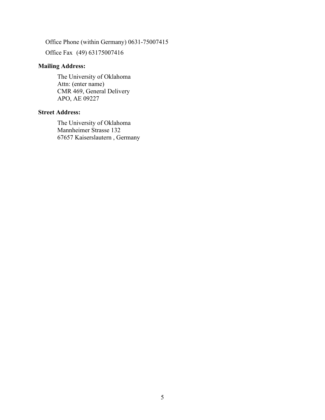Office Phone (within Germany) 0631-75007415

Office Fax (49) 63175007416

## **Mailing Address:**

The University of Oklahoma Attn: (enter name) CMR 469, General Delivery APO, AE 09227

#### **Street Address:**

<span id="page-4-0"></span>The University of Oklahoma Mannheimer Strasse 132 67657 Kaiserslautern , Germany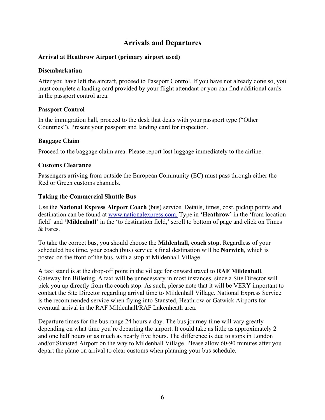## **Arrivals and Departures**

#### **Arrival at Heathrow Airport (primary airport used)**

#### **Disembarkation**

After you have left the aircraft, proceed to Passport Control. If you have not already done so, you must complete a landing card provided by your flight attendant or you can find additional cards in the passport control area.

#### **Passport Control**

In the immigration hall, proceed to the desk that deals with your passport type ("Other Countries"). Present your passport and landing card for inspection.

#### **Baggage Claim**

Proceed to the baggage claim area. Please report lost luggage immediately to the airline.

#### **Customs Clearance**

Passengers arriving from outside the European Community (EC) must pass through either the Red or Green customs channels.

## **Taking the Commercial Shuttle Bus**

Use the **National Express Airport Coach** (bus) service. Details, times, cost, pickup points and destination can be found at [www.nationalexpress.com.](http://www.gobycoach.com/TravelEnq/TravelEnq.cfm) Type in **'Heathrow'** in the 'from location field' and **'Mildenhall'** in the 'to destination field,' scroll to bottom of page and click on Times & Fares.

To take the correct bus, you should choose the **Mildenhall, coach stop**. Regardless of your scheduled bus time, your coach (bus) service's final destination will be **Norwich***,* which is posted on the front of the bus, with a stop at Mildenhall Village.

A taxi stand is at the drop-off point in the village for onward travel to **RAF Mildenhall**, Gateway Inn Billeting. A taxi will be unnecessary in most instances, since a Site Director will pick you up directly from the coach stop. As such, please note that it will be VERY important to contact the Site Director regarding arrival time to Mildenhall Village. National Express Service is the recommended service when flying into Stansted, Heathrow or Gatwick Airports for eventual arrival in the RAF Mildenhall/RAF Lakenheath area.

Departure times for the bus range 24 hours a day. The bus journey time will vary greatly depending on what time you're departing the airport. It could take as little as approximately 2 and one half hours or as much as nearly five hours. The difference is due to stops in London and/or Stansted Airport on the way to Mildenhall Village. Please allow 60-90 minutes after you depart the plane on arrival to clear customs when planning your bus schedule.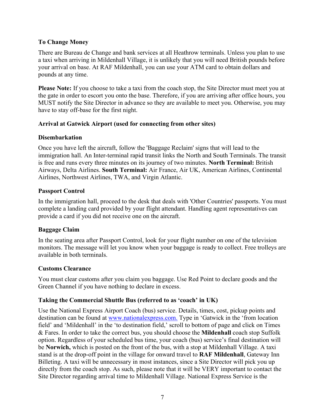## **To Change Money**

There are Bureau de Change and bank services at all Heathrow terminals. Unless you plan to use a taxi when arriving in Mildenhall Village, it is unlikely that you will need British pounds before your arrival on base. At RAF Mildenhall, you can use your ATM card to obtain dollars and pounds at any time.

**Please Note:** If you choose to take a taxi from the coach stop, the Site Director must meet you at the gate in order to escort you onto the base. Therefore, if you are arriving after office hours, you MUST notify the Site Director in advance so they are available to meet you. Otherwise, you may have to stay off-base for the first night.

#### **Arrival at Gatwick Airport (used for connecting from other sites)**

#### **Disembarkation**

Once you have left the aircraft, follow the 'Baggage Reclaim' signs that will lead to the immigration hall. An Inter-terminal rapid transit links the North and South Terminals. The transit is free and runs every three minutes on its journey of two minutes. **North Terminal:** British Airways, Delta Airlines. **South Terminal:** Air France, Air UK, American Airlines, Continental Airlines, Northwest Airlines, TWA, and Virgin Atlantic.

## **Passport Control**

In the immigration hall, proceed to the desk that deals with 'Other Countries' passports. You must complete a landing card provided by your flight attendant. Handling agent representatives can provide a card if you did not receive one on the aircraft.

#### **Baggage Claim**

In the seating area after Passport Control, look for your flight number on one of the television monitors. The message will let you know when your baggage is ready to collect. Free trolleys are available in both terminals.

#### **Customs Clearance**

You must clear customs after you claim you baggage. Use Red Point to declare goods and the Green Channel if you have nothing to declare in excess.

## **Taking the Commercial Shuttle Bus (referred to as 'coach' in UK)**

Use the National Express Airport Coach (bus) service. Details, times, cost, pickup points and destination can be found at [www.nationalexpress.com.](http://www.gobycoach.com/TravelEnq/TravelEnq.cfm) Type in 'Gatwick in the 'from location field' and 'Mildenhall' in the 'to destination field,' scroll to bottom of page and click on Times & Fares. In order to take the correct bus, you should choose the **Mildenhall** coach stop Suffolk option. Regardless of your scheduled bus time, your coach (bus) service's final destination will be **Norwich,** which is posted on the front of the bus, with a stop at Mildenhall Village. A taxi stand is at the drop-off point in the village for onward travel to **RAF Mildenhall**, Gateway Inn Billeting. A taxi will be unnecessary in most instances, since a Site Director will pick you up directly from the coach stop. As such, please note that it will be VERY important to contact the Site Director regarding arrival time to Mildenhall Village. National Express Service is the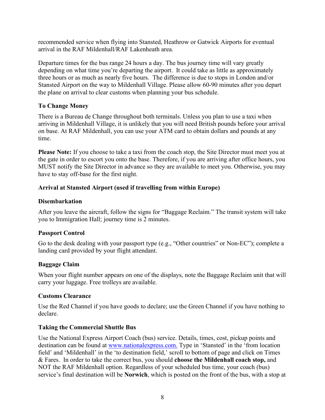recommended service when flying into Stansted, Heathrow or Gatwick Airports for eventual arrival in the RAF Mildenhall/RAF Lakenheath area.

Departure times for the bus range 24 hours a day. The bus journey time will vary greatly depending on what time you're departing the airport. It could take as little as approximately three hours or as much as nearly five hours. The difference is due to stops in London and/or Stansted Airport on the way to Mildenhall Village. Please allow 60-90 minutes after you depart the plane on arrival to clear customs when planning your bus schedule.

#### **To Change Money**

There is a Bureau de Change throughout both terminals. Unless you plan to use a taxi when arriving in Mildenhall Village, it is unlikely that you will need British pounds before your arrival on base. At RAF Mildenhall, you can use your ATM card to obtain dollars and pounds at any time.

**Please Note:** If you choose to take a taxi from the coach stop, the Site Director must meet you at the gate in order to escort you onto the base. Therefore, if you are arriving after office hours, you MUST notify the Site Director in advance so they are available to meet you. Otherwise, you may have to stay off-base for the first night.

## **Arrival at Stansted Airport (used if travelling from within Europe)**

#### **Disembarkation**

After you leave the aircraft, follow the signs for "Baggage Reclaim." The transit system will take you to Immigration Hall; journey time is 2 minutes.

## **Passport Control**

Go to the desk dealing with your passport type (e.g., "Other countries" or Non-EC"); complete a landing card provided by your flight attendant.

## **Baggage Claim**

When your flight number appears on one of the displays, note the Baggage Reclaim unit that will carry your luggage. Free trolleys are available.

#### **Customs Clearance**

Use the Red Channel if you have goods to declare; use the Green Channel if you have nothing to declare.

#### **Taking the Commercial Shuttle Bus**

Use the National Express Airport Coach (bus) service. Details, times, cost, pickup points and destination can be found at [www.nationalexpress.com.](http://www.gobycoach.com/TravelEnq/TravelEnq.cfm) Type in 'Stansted' in the 'from location field' and 'Mildenhall' in the 'to destination field,' scroll to bottom of page and click on Times & Fares. In order to take the correct bus, you should **choose the Mildenhall coach stop,** and NOT the RAF Mildenhall option. Regardless of your scheduled bus time, your coach (bus) service's final destination will be **Norwich**, which is posted on the front of the bus, with a stop at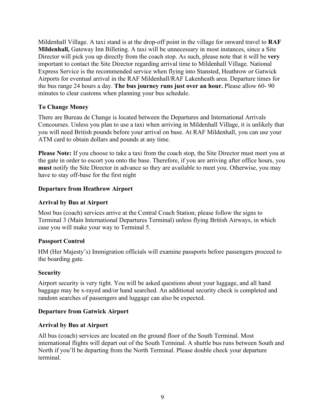Mildenhall Village. A taxi stand is at the drop-off point in the village for onward travel to **RAF Mildenhall,** Gateway Inn Billeting. A taxi will be unnecessary in most instances, since a Site Director will pick you up directly from the coach stop. As such, please note that it will be **very** important to contact the Site Director regarding arrival time to Mildenhall Village. National Express Service is the recommended service when flying into Stansted, Heathrow or Gatwick Airports for eventual arrival in the RAF Mildenhall/RAF Lakenheath area. Departure times for the bus range 24 hours a day. **The bus journey runs just over an hour.** Please allow 60- 90 minutes to clear customs when planning your bus schedule.

### **To Change Money**

There are Bureau de Change is located between the Departures and International Arrivals Concourses. Unless you plan to use a taxi when arriving in Mildenhall Village, it is unlikely that you will need British pounds before your arrival on base. At RAF Mildenhall, you can use your ATM card to obtain dollars and pounds at any time.

**Please Note:** If you choose to take a taxi from the coach stop, the Site Director must meet you at the gate in order to escort you onto the base. Therefore, if you are arriving after office hours, you **must** notify the Site Director in advance so they are available to meet you. Otherwise, you may have to stay off-base for the first night

#### **Departure from Heathrow Airport**

#### **Arrival by Bus at Airport**

Most bus (coach) services arrive at the Central Coach Station; please follow the signs to Terminal 3 (Main International Departures Terminal) unless flying British Airways, in which case you will make your way to Terminal 5.

#### **Passport Control**

HM (Her Majesty's) Immigration officials will examine passports before passengers proceed to the boarding gate.

#### **Security**

Airport security is very tight. You will be asked questions about your luggage, and all hand baggage may be x-rayed and/or hand searched. An additional security check is completed and random searches of passengers and luggage can also be expected.

#### **Departure from Gatwick Airport**

#### **Arrival by Bus at Airport**

All bus (coach) services are located on the ground floor of the South Terminal. Most international flights will depart out of the South Terminal. A shuttle bus runs between South and North if you'll be departing from the North Terminal. Please double check your departure terminal.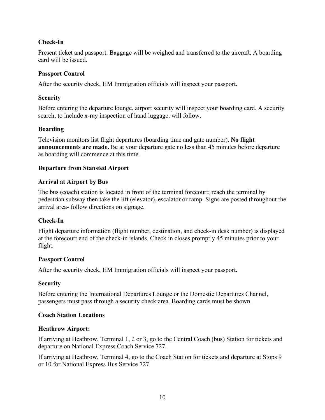## **Check-In**

Present ticket and passport. Baggage will be weighed and transferred to the aircraft. A boarding card will be issued.

## **Passport Control**

After the security check, HM Immigration officials will inspect your passport.

## **Security**

Before entering the departure lounge, airport security will inspect your boarding card. A security search, to include x-ray inspection of hand luggage, will follow.

## **Boarding**

Television monitors list flight departures (boarding time and gate number). **No flight announcements are made.** Be at your departure gate no less than 45 minutes before departure as boarding will commence at this time.

## **Departure from Stansted Airport**

## **Arrival at Airport by Bus**

The bus (coach) station is located in front of the terminal forecourt; reach the terminal by pedestrian subway then take the lift (elevator), escalator or ramp. Signs are posted throughout the arrival area- follow directions on signage.

#### **Check-In**

Flight departure information (flight number, destination, and check-in desk number) is displayed at the forecourt end of the check-in islands. Check in closes promptly 45 minutes prior to your flight.

#### **Passport Control**

After the security check, HM Immigration officials will inspect your passport.

#### **Security**

Before entering the International Departures Lounge or the Domestic Departures Channel, passengers must pass through a security check area. Boarding cards must be shown.

#### **Coach Station Locations**

#### **Heathrow Airport:**

If arriving at Heathrow, Terminal 1, 2 or 3, go to the Central Coach (bus) Station for tickets and departure on National Express Coach Service 727.

If arriving at Heathrow, Terminal 4, go to the Coach Station for tickets and departure at Stops 9 or 10 for National Express Bus Service 727.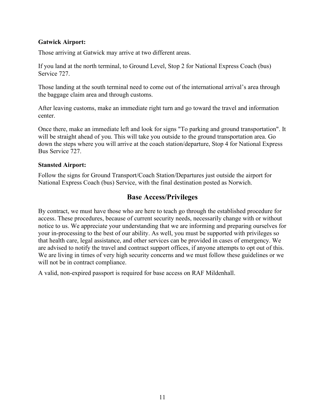#### **Gatwick Airport:**

Those arriving at Gatwick may arrive at two different areas.

If you land at the north terminal, to Ground Level, Stop 2 for National Express Coach (bus) Service 727.

Those landing at the south terminal need to come out of the international arrival's area through the baggage claim area and through customs.

After leaving customs, make an immediate right turn and go toward the travel and information center.

Once there, make an immediate left and look for signs "To parking and ground transportation". It will be straight ahead of you. This will take you outside to the ground transportation area. Go down the steps where you will arrive at the coach station/departure, Stop 4 for National Express Bus Service 727.

#### **Stansted Airport:**

Follow the signs for Ground Transport/Coach Station/Departures just outside the airport for National Express Coach (bus) Service, with the final destination posted as Norwich.

## **Base Access/Privileges**

By contract, we must have those who are here to teach go through the established procedure for access. These procedures, because of current security needs, necessarily change with or without notice to us. We appreciate your understanding that we are informing and preparing ourselves for your in-processing to the best of our ability. As well, you must be supported with privileges so that health care, legal assistance, and other services can be provided in cases of emergency. We are advised to notify the travel and contract support offices, if anyone attempts to opt out of this. We are living in times of very high security concerns and we must follow these guidelines or we will not be in contract compliance.

<span id="page-10-0"></span>A valid, non-expired passport is required for base access on RAF Mildenhall.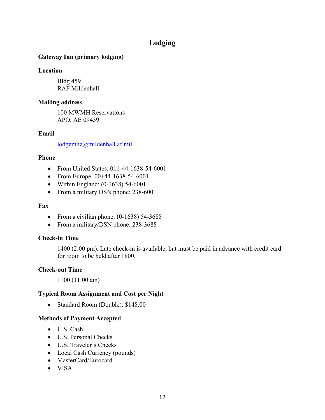## **Lodging**

## **Gateway Inn (primary lodging)**

#### **Location**

Bldg 459 RAF Mildenhall

#### **Mailing address**

100 MWMH Reservations APO, AE 09459

#### **Email**

[lodgemhz@mildenhall.af.mil](mailto:lodgemhz@mildenhall.af.mil)

#### **Phone**

- From United States: 011-44-1638-54-6001
- From Europe: 00+44-1638-54-6001
- Within England: (0-1638) 54-6001
- From a military DSN phone: 238-6001

#### **Fax**

- From a civilian phone: (0-1638) 54-3688
- From a military/DSN phone: 238-3688

#### **Check-in Time**

1400 (2:00 pm). Late check-in is available, but must be paid in advance with credit card for room to be held after 1800.

#### **Check-out Time**

1100 (11:00 am)

#### **Typical Room Assignment and Cost per Night**

• Standard Room (Double): \$148.00

#### **Methods of Payment Accepted**

- U.S. Cash
- U.S. Personal Checks
- U.S. Traveler's Checks
- Local Cash Currency (pounds)
- MasterCard/Eurocard
- VISA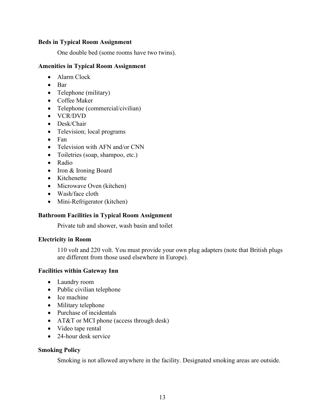#### **Beds in Typical Room Assignment**

One double bed (some rooms have two twins).

#### **Amenities in Typical Room Assignment**

- Alarm Clock
- Bar
- Telephone (military)
- Coffee Maker
- Telephone (commercial/civilian)
- VCR/DVD
- Desk/Chair
- Television; local programs
- Fan
- Television with AFN and/or CNN
- Toiletries (soap, shampoo, etc.)
- Radio
- Iron & Ironing Board
- Kitchenette
- Microwave Oven (kitchen)
- Wash/face cloth
- Mini-Refrigerator (kitchen)

#### **Bathroom Facilities in Typical Room Assignment**

Private tub and shower, wash basin and toilet

#### **Electricity in Room**

110 volt and 220 volt. You must provide your own plug adapters (note that British plugs are different from those used elsewhere in Europe).

#### **Facilities within Gateway Inn**

- Laundry room
- Public civilian telephone
- Ice machine
- Military telephone
- Purchase of incidentals
- AT&T or MCI phone (access through desk)
- Video tape rental
- 24-hour desk service

#### **Smoking Policy**

Smoking is not allowed anywhere in the facility. Designated smoking areas are outside.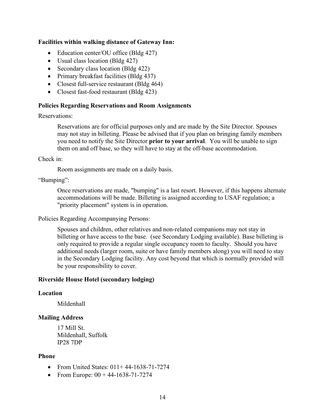#### **Facilities within walking distance of Gateway Inn:**

- Education center/OU office (Bldg 427)
- Usual class location (Bldg 427)
- Secondary class location (Bldg 422)
- Primary breakfast facilities (Bldg 437)
- Closest full-service restaurant (Bldg 464)
- Closest fast-food restaurant (Bldg 423)

#### **Policies Regarding Reservations and Room Assignments**

Reservations:

Reservations are for official purposes only and are made by the Site Director. Spouses may not stay in billeting. Please be advised that if you plan on bringing family members you need to notify the Site Director **prior to your arrival**. You will be unable to sign them on and off base, so they will have to stay at the off-base accommodation.

Check in:

Room assignments are made on a daily basis.

"Bumping":

Once reservations are made, "bumping" is a last resort. However, if this happens alternate accommodations will be made. Billeting is assigned according to USAF regulation; a "priority placement" system is in operation.

Policies Regarding Accompanying Persons:

Spouses and children, other relatives and non-related companions may not stay in billeting or have access to the base. (see Secondary Lodging available). Base billeting is only required to provide a regular single occupancy room to faculty. Should you have additional needs (larger room, suite or have family members along) you will need to stay in the Secondary Lodging facility. Any cost beyond that which is normally provided will be your responsibility to cover.

#### **Riverside House Hotel (secondary lodging)**

#### **Location**

Mildenhall

#### **Mailing Address**

17 Mill St. Mildenhall, Suffolk IP28 7DP

#### **Phone**

- From United States:  $011+44-1638-71-7274$
- From Europe:  $00 + 44 1638 71 7274$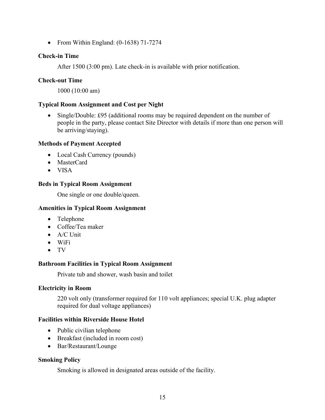• From Within England: (0-1638) 71-7274

### **Check-in Time**

After 1500 (3:00 pm). Late check-in is available with prior notification.

## **Check-out Time**

1000 (10:00 am)

## **Typical Room Assignment and Cost per Night**

• Single/Double: £95 (additional rooms may be required dependent on the number of people in the party, please contact Site Director with details if more than one person will be arriving/staying).

## **Methods of Payment Accepted**

- Local Cash Currency (pounds)
- MasterCard
- VISA

## **Beds in Typical Room Assignment**

One single or one double/queen.

## **Amenities in Typical Room Assignment**

- Telephone
- Coffee/Tea maker
- A/C Unit
- WiFi
- TV

## **Bathroom Facilities in Typical Room Assignment**

Private tub and shower, wash basin and toilet

#### **Electricity in Room**

220 volt only (transformer required for 110 volt appliances; special U.K. plug adapter required for dual voltage appliances)

#### **Facilities within Riverside House Hotel**

- Public civilian telephone
- Breakfast (included in room cost)
- Bar/Restaurant/Lounge

#### **Smoking Policy**

Smoking is allowed in designated areas outside of the facility.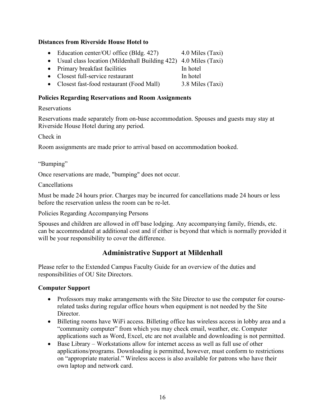#### **Distances from Riverside House Hotel to**

- Education center/OU office (Bldg. 427) 4.0 Miles (Taxi)
- Usual class location (Mildenhall Building 422) 4.0 Miles (Taxi)
- Primary breakfast facilities In hotel
- Closest full-service restaurant In hotel
- Closest fast-food restaurant (Food Mall) 3.8 Miles (Taxi)

#### **Policies Regarding Reservations and Room Assignments**

#### Reservations

Reservations made separately from on-base accommodation. Spouses and guests may stay at Riverside House Hotel during any period.

Check in

Room assignments are made prior to arrival based on accommodation booked.

"Bumping"

Once reservations are made, "bumping" does not occur.

Cancellations

Must be made 24 hours prior. Charges may be incurred for cancellations made 24 hours or less before the reservation unless the room can be re-let.

Policies Regarding Accompanying Persons

<span id="page-15-0"></span>Spouses and children are allowed in off base lodging. Any accompanying family, friends, etc. can be accommodated at additional cost and if either is beyond that which is normally provided it will be your responsibility to cover the difference.

## **Administrative Support at Mildenhall**

Please refer to the Extended Campus Faculty Guide for an overview of the duties and responsibilities of OU Site Directors.

#### **Computer Support**

- Professors may make arrangements with the Site Director to use the computer for courserelated tasks during regular office hours when equipment is not needed by the Site Director.
- Billeting rooms have WiFi access. Billeting office has wireless access in lobby area and a "community computer" from which you may check email, weather, etc. Computer applications such as Word, Excel, etc are not available and downloading is not permitted.
- Base Library Workstations allow for internet access as well as full use of other applications/programs. Downloading is permitted, however, must conform to restrictions on "appropriate material." Wireless access is also available for patrons who have their own laptop and network card.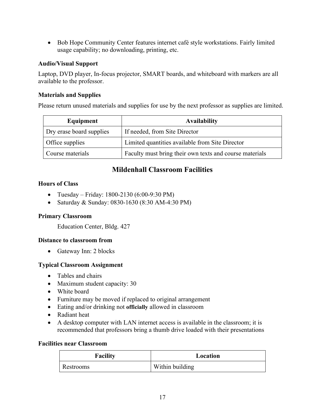• Bob Hope Community Center features internet café style workstations. Fairly limited usage capability; no downloading, printing, etc.

## **Audio/Visual Support**

Laptop, DVD player, In-focus projector, SMART boards, and whiteboard with markers are all available to the professor.

## **Materials and Supplies**

Please return unused materials and supplies for use by the next professor as supplies are limited.

| Equipment                | <b>Availability</b>                                     |
|--------------------------|---------------------------------------------------------|
| Dry erase board supplies | If needed, from Site Director                           |
| Office supplies          | Limited quantities available from Site Director         |
| Course materials         | Faculty must bring their own texts and course materials |

## **Mildenhall Classroom Facilities**

## <span id="page-16-0"></span>**Hours of Class**

- Tuesday Friday: 1800-2130 (6:00-9:30 PM)
- Saturday & Sunday: 0830-1630 (8:30 AM-4:30 PM)

## **Primary Classroom**

Education Center, Bldg. 427

## **Distance to classroom from**

• Gateway Inn: 2 blocks

## **Typical Classroom Assignment**

- Tables and chairs
- Maximum student capacity: 30
- White board
- Furniture may be moved if replaced to original arrangement
- Eating and/or drinking not **officially** allowed in classroom
- Radiant heat
- A desktop computer with LAN internet access is available in the classroom; it is recommended that professors bring a thumb drive loaded with their presentations

#### **Facilities near Classroom**

| <b>Facility</b> | Location        |
|-----------------|-----------------|
| Restrooms       | Within building |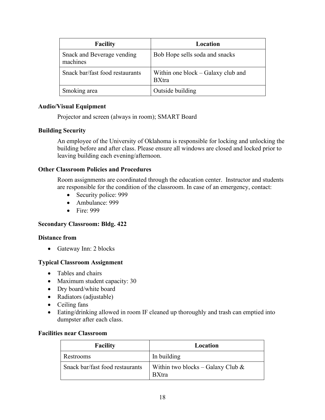| <b>Facility</b>                        | Location                                           |
|----------------------------------------|----------------------------------------------------|
| Snack and Beverage vending<br>machines | Bob Hope sells soda and snacks                     |
| Snack bar/fast food restaurants        | Within one block – Galaxy club and<br><b>BXtra</b> |
| Smoking area                           | Outside building                                   |

#### **Audio/Visual Equipment**

Projector and screen (always in room); SMART Board

#### **Building Security**

An employee of the University of Oklahoma is responsible for locking and unlocking the building before and after class. Please ensure all windows are closed and locked prior to leaving building each evening/afternoon.

#### **Other Classroom Policies and Procedures**

Room assignments are coordinated through the education center. Instructor and students are responsible for the condition of the classroom. In case of an emergency, contact:

- Security police: 999
- Ambulance: 999
- Fire: 999

#### **Secondary Classroom: Bldg. 422**

#### **Distance from**

• Gateway Inn: 2 blocks

#### **Typical Classroom Assignment**

- Tables and chairs
- Maximum student capacity: 30
- Dry board/white board
- Radiators (adjustable)
- Ceiling fans
- Eating/drinking allowed in room IF cleaned up thoroughly and trash can emptied into dumpster after each class.

#### **Facilities near Classroom**

| <b>Facility</b>                 | Location                                             |
|---------------------------------|------------------------------------------------------|
| Restrooms                       | In building                                          |
| Snack bar/fast food restaurants | Within two blocks – Galaxy Club $\&$<br><b>BXtra</b> |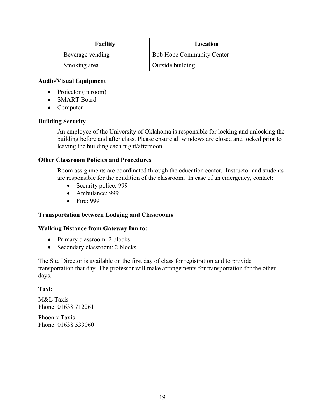| <b>Facility</b>  | Location                         |
|------------------|----------------------------------|
| Beverage vending | <b>Bob Hope Community Center</b> |
| Smoking area     | Outside building                 |

#### **Audio/Visual Equipment**

- Projector (in room)
- SMART Board
- Computer

#### **Building Security**

An employee of the University of Oklahoma is responsible for locking and unlocking the building before and after class. Please ensure all windows are closed and locked prior to leaving the building each night/afternoon.

#### **Other Classroom Policies and Procedures**

Room assignments are coordinated through the education center. Instructor and students are responsible for the condition of the classroom. In case of an emergency, contact:

- Security police: 999
- Ambulance: 999
- Fire: 999

#### **Transportation between Lodging and Classrooms**

#### **Walking Distance from Gateway Inn to:**

- Primary classroom: 2 blocks
- Secondary classroom: 2 blocks

The Site Director is available on the first day of class for registration and to provide transportation that day. The professor will make arrangements for transportation for the other days.

#### **Taxi:**

M&L Taxis Phone: [01638 712261](javascript:void(0))

<span id="page-18-0"></span>Phoenix Taxis Phone: 01638 533060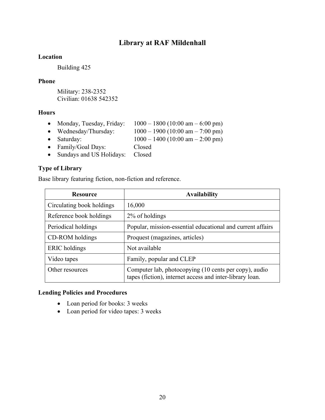## **Library at RAF Mildenhall**

#### **Location**

Building 425

#### **Phone**

Military: 238-2352 Civilian: 01638 542352

#### **Hours**

- Monday, Tuesday, Friday:  $1000 1800 (10:00 \text{ am} 6:00 \text{ pm})$
- Wednesday/Thursday:  $1000 1900 (10:00 \text{ am} 7:00 \text{ pm})$
- Saturday:  $1000 1400 (10:00 \text{ am} 2:00 \text{ pm})$
- Family/Goal Days: Closed
- Sundays and US Holidays: Closed

#### **Type of Library**

Base library featuring fiction, non-fiction and reference.

| <b>Resource</b>           | <b>Availability</b>                                                                                               |
|---------------------------|-------------------------------------------------------------------------------------------------------------------|
| Circulating book holdings | 16,000                                                                                                            |
| Reference book holdings   | 2% of holdings                                                                                                    |
| Periodical holdings       | Popular, mission-essential educational and current affairs                                                        |
| CD-ROM holdings           | Proquest (magazines, articles)                                                                                    |
| ERIC holdings             | Not available                                                                                                     |
| Video tapes               | Family, popular and CLEP                                                                                          |
| Other resources           | Computer lab, photocopying (10 cents per copy), audio<br>tapes (fiction), internet access and inter-library loan. |

#### **Lending Policies and Procedures**

- Loan period for books: 3 weeks
- <span id="page-19-0"></span>• Loan period for video tapes: 3 weeks